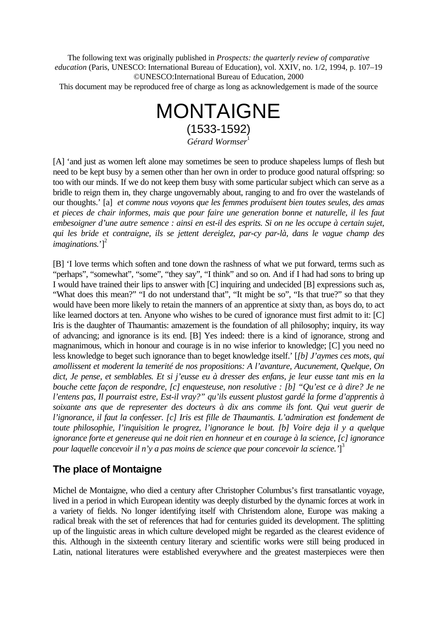The following text was originally published in *Prospects: the quarterly review of comparative education* (Paris, UNESCO: International Bureau of Education), vol. XXIV, no. 1/2, 1994, p. 107–19 ©UNESCO:International Bureau of Education, 2000

This document may be reproduced free of charge as long as acknowledgement is made of the source

# MONTAIGNE (1533-1592) *Gérard Wormser*<sup>1</sup>

[A] 'and just as women left alone may sometimes be seen to produce shapeless lumps of flesh but need to be kept busy by a semen other than her own in order to produce good natural offspring: so too with our minds. If we do not keep them busy with some particular subject which can serve as a bridle to reign them in, they charge ungovernably about, ranging to and fro over the wastelands of our thoughts.' [a] *et comme nous voyons que les femmes produisent bien toutes seules, des amas et pieces de chair informes, mais que pour faire une generation bonne et naturelle, il les faut embesoigner d'une autre semence : ainsi en est-il des esprits. Si on ne les occupe à certain sujet, qui les bride et contraigne, ils se jettent dereiglez, par-cy par-là, dans le vague champ des imaginations.*<sup> $1^2$ </sup>

[B] 'I love terms which soften and tone down the rashness of what we put forward, terms such as "perhaps", "somewhat", "some", "they say", "I think" and so on. And if I had had sons to bring up I would have trained their lips to answer with [C] inquiring and undecided [B] expressions such as, "What does this mean?" "I do not understand that", "It might be so", "Is that true?" so that they would have been more likely to retain the manners of an apprentice at sixty than, as boys do, to act like learned doctors at ten. Anyone who wishes to be cured of ignorance must first admit to it: [C] Iris is the daughter of Thaumantis: amazement is the foundation of all philosophy; inquiry, its way of advancing; and ignorance is its end. [B] Yes indeed: there is a kind of ignorance, strong and magnanimous, which in honour and courage is in no wise inferior to knowledge; [C] you need no less knowledge to beget such ignorance than to beget knowledge itself.' [*[b] J'aymes ces mots, qui amollissent et moderent la temerité de nos propositions: A l'avanture, Aucunement, Quelque, On dict, Je pense, et semblables. Et si j'eusse eu à dresser des enfans, je leur eusse tant mis en la bouche cette façon de respondre, [c] enquesteuse, non resolutive : [b] "Qu'est ce à dire? Je ne l'entens pas, Il pourraist estre, Est-il vray?" qu'ils eussent plustost gardé la forme d'apprentis à soixante ans que de representer des docteurs à dix ans comme ils font. Qui veut guerir de l'ignorance, il faut la confesser. [c] Iris est fille de Thaumantis. L'admiration est fondement de toute philosophie, l'inquisition le progrez, l'ignorance le bout. [b] Voire deja il y a quelque ignorance forte et genereuse qui ne doit rien en honneur et en courage à la science, [c] ignorance pour laquelle concevoir il n'y a pas moins de science que pour concevoir la science.'*] 3

# **The place of Montaigne**

Michel de Montaigne, who died a century after Christopher Columbus's first transatlantic voyage, lived in a period in which European identity was deeply disturbed by the dynamic forces at work in a variety of fields. No longer identifying itself with Christendom alone, Europe was making a radical break with the set of references that had for centuries guided its development. The splitting up of the linguistic areas in which culture developed might be regarded as the clearest evidence of this. Although in the sixteenth century literary and scientific works were still being produced in Latin, national literatures were established everywhere and the greatest masterpieces were then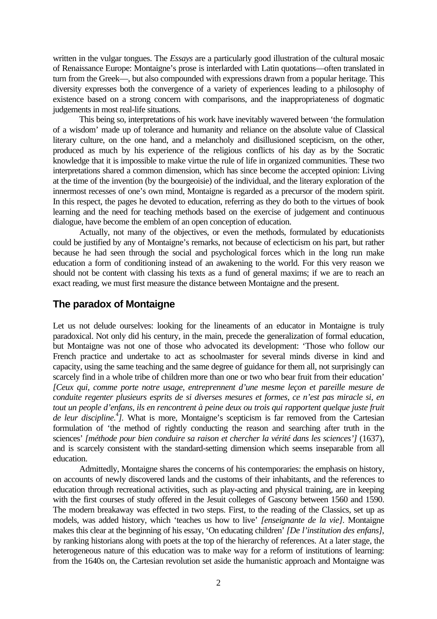written in the vulgar tongues. The *Essays* are a particularly good illustration of the cultural mosaic of Renaissance Europe: Montaigne's prose is interlarded with Latin quotations—often translated in turn from the Greek—, but also compounded with expressions drawn from a popular heritage. This diversity expresses both the convergence of a variety of experiences leading to a philosophy of existence based on a strong concern with comparisons, and the inappropriateness of dogmatic judgements in most real-life situations.

This being so, interpretations of his work have inevitably wavered between 'the formulation of a wisdom' made up of tolerance and humanity and reliance on the absolute value of Classical literary culture, on the one hand, and a melancholy and disillusioned scepticism, on the other, produced as much by his experience of the religious conflicts of his day as by the Socratic knowledge that it is impossible to make virtue the rule of life in organized communities. These two interpretations shared a common dimension, which has since become the accepted opinion: Living at the time of the invention (by the bourgeoisie) of the individual, and the literary exploration of the innermost recesses of one's own mind, Montaigne is regarded as a precursor of the modern spirit. In this respect, the pages he devoted to education, referring as they do both to the virtues of book learning and the need for teaching methods based on the exercise of judgement and continuous dialogue, have become the emblem of an open conception of education.

Actually, not many of the objectives, or even the methods, formulated by educationists could be justified by any of Montaigne's remarks, not because of eclecticism on his part, but rather because he had seen through the social and psychological forces which in the long run make education a form of conditioning instead of an awakening to the world. For this very reason we should not be content with classing his texts as a fund of general maxims; if we are to reach an exact reading, we must first measure the distance between Montaigne and the present.

## **The paradox of Montaigne**

Let us not delude ourselves: looking for the lineaments of an educator in Montaigne is truly paradoxical. Not only did his century, in the main, precede the generalization of formal education, but Montaigne was not one of those who advocated its development: 'Those who follow our French practice and undertake to act as schoolmaster for several minds diverse in kind and capacity, using the same teaching and the same degree of guidance for them all, not surprisingly can scarcely find in a whole tribe of children more than one or two who bear fruit from their education' *[Ceux qui, comme porte notre usage, entreprennent d'une mesme leçon et pareille mesure de conduite regenter plusieurs esprits de si diverses mesures et formes, ce n'est pas miracle si, en tout un people d'enfans, ils en rencontrent à peine deux ou trois qui rapportent quelque juste fruit de leur discipline.*<sup>4</sup> *].* What is more, Montaigne's scepticism is far removed from the Cartesian formulation of 'the method of rightly conducting the reason and searching after truth in the sciences' *[méthode pour bien conduire sa raison et chercher la vérité dans les sciences']* (1637), and is scarcely consistent with the standard-setting dimension which seems inseparable from all education.

Admittedly, Montaigne shares the concerns of his contemporaries: the emphasis on history, on accounts of newly discovered lands and the customs of their inhabitants, and the references to education through recreational activities, such as play-acting and physical training, are in keeping with the first courses of study offered in the Jesuit colleges of Gascony between 1560 and 1590. The modern breakaway was effected in two steps. First, to the reading of the Classics, set up as models, was added history, which 'teaches us how to live' *[enseignante de la vie]*. Montaigne makes this clear at the beginning of his essay, 'On educating children' *[De l'institution des enfans]*, by ranking historians along with poets at the top of the hierarchy of references. At a later stage, the heterogeneous nature of this education was to make way for a reform of institutions of learning: from the 1640s on, the Cartesian revolution set aside the humanistic approach and Montaigne was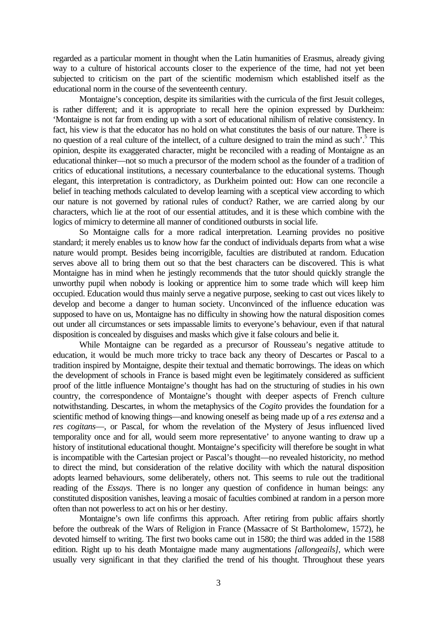regarded as a particular moment in thought when the Latin humanities of Erasmus, already giving way to a culture of historical accounts closer to the experience of the time, had not yet been subjected to criticism on the part of the scientific modernism which established itself as the educational norm in the course of the seventeenth century.

Montaigne's conception, despite its similarities with the curricula of the first Jesuit colleges, is rather different; and it is appropriate to recall here the opinion expressed by Durkheim: 'Montaigne is not far from ending up with a sort of educational nihilism of relative consistency. In fact, his view is that the educator has no hold on what constitutes the basis of our nature. There is no question of a real culture of the intellect, of a culture designed to train the mind as such'.<sup>5</sup> This opinion, despite its exaggerated character, might be reconciled with a reading of Montaigne as an educational thinker—not so much a precursor of the modern school as the founder of a tradition of critics of educational institutions, a necessary counterbalance to the educational systems. Though elegant, this interpretation is contradictory, as Durkheim pointed out: How can one reconcile a belief in teaching methods calculated to develop learning with a sceptical view according to which our nature is not governed by rational rules of conduct? Rather, we are carried along by our characters, which lie at the root of our essential attitudes, and it is these which combine with the logics of mimicry to determine all manner of conditioned outbursts in social life.

So Montaigne calls for a more radical interpretation. Learning provides no positive standard; it merely enables us to know how far the conduct of individuals departs from what a wise nature would prompt. Besides being incorrigible, faculties are distributed at random. Education serves above all to bring them out so that the best characters can be discovered. This is what Montaigne has in mind when he jestingly recommends that the tutor should quickly strangle the unworthy pupil when nobody is looking or apprentice him to some trade which will keep him occupied. Education would thus mainly serve a negative purpose, seeking to cast out vices likely to develop and become a danger to human society. Unconvinced of the influence education was supposed to have on us, Montaigne has no difficulty in showing how the natural disposition comes out under all circumstances or sets impassable limits to everyone's behaviour, even if that natural disposition is concealed by disguises and masks which give it false colours and belie it.

While Montaigne can be regarded as a precursor of Rousseau's negative attitude to education, it would be much more tricky to trace back any theory of Descartes or Pascal to a tradition inspired by Montaigne, despite their textual and thematic borrowings. The ideas on which the development of schools in France is based might even be legitimately considered as sufficient proof of the little influence Montaigne's thought has had on the structuring of studies in his own country, the correspondence of Montaigne's thought with deeper aspects of French culture notwithstanding. Descartes, in whom the metaphysics of the *Cogito* provides the foundation for a scientific method of knowing things—and knowing oneself as being made up of a *res extensa* and a *res cogitans*—, or Pascal, for whom the revelation of the Mystery of Jesus influenced lived temporality once and for all, would seem more representative' to anyone wanting to draw up a history of institutional educational thought. Montaigne's specificity will therefore be sought in what is incompatible with the Cartesian project or Pascal's thought—no revealed historicity, no method to direct the mind, but consideration of the relative docility with which the natural disposition adopts learned behaviours, some deliberately, others not. This seems to rule out the traditional reading of the *Essays*. There is no longer any question of confidence in human beings: any constituted disposition vanishes, leaving a mosaic of faculties combined at random in a person more often than not powerless to act on his or her destiny.

Montaigne's own life confirms this approach. After retiring from public affairs shortly before the outbreak of the Wars of Religion in France (Massacre of St Bartholomew, 1572), he devoted himself to writing. The first two books came out in 1580; the third was added in the 1588 edition. Right up to his death Montaigne made many augmentations *[allongeails]*, which were usually very significant in that they clarified the trend of his thought. Throughout these years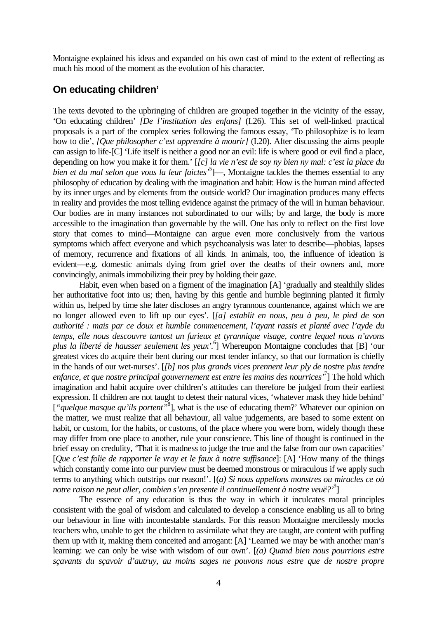Montaigne explained his ideas and expanded on his own cast of mind to the extent of reflecting as much his mood of the moment as the evolution of his character.

## **On educating children'**

The texts devoted to the upbringing of children are grouped together in the vicinity of the essay, 'On educating children' *[De l'institution des enfans]* (I.26). This set of well-linked practical proposals is a part of the complex series following the famous essay, 'To philosophize is to learn how to die', *[Que philosopher c'est apprendre à mourir]* (I.20). After discussing the aims people can assign to life-[C] 'Life itself is neither a good nor an evil: life is where good or evil find a place, depending on how you make it for them.' [*[c] la vie n'est de soy ny bien ny mal: c'est la place du bien et du mal selon que vous la leur faictes'*<sup>5</sup> ]—, Montaigne tackles the themes essential to any philosophy of education by dealing with the imagination and habit: How is the human mind affected by its inner urges and by elements from the outside world? Our imagination produces many effects in reality and provides the most telling evidence against the primacy of the will in human behaviour. Our bodies are in many instances not subordinated to our wills; by and large, the body is more accessible to the imagination than governable by the will. One has only to reflect on the first love story that comes to mind—Montaigne can argue even more conclusively from the various symptoms which affect everyone and which psychoanalysis was later to describe—phobias, lapses of memory, recurrence and fixations of all kinds. In animals, too, the influence of ideation is evident—e.g. domestic animals dying from grief over the deaths of their owners and, more convincingly, animals immobilizing their prey by holding their gaze.

Habit, even when based on a figment of the imagination [A] 'gradually and stealthily slides her authoritative foot into us; then, having by this gentle and humble beginning planted it firmly within us, helped by time she later discloses an angry tyrannous countenance, against which we are no longer allowed even to lift up our eyes'. [*[a] establit en nous, peu à peu, le pied de son authorité : mais par ce doux et humble commencement, l'ayant rassis et planté avec l'ayde du temps, elle nous descouvre tantost un furieux et tyrannique visage, contre lequel nous n'avons plus la liberté de hausser seulement les yeux'.*<sup>6</sup> ] Whereupon Montaigne concludes that [B] 'our greatest vices do acquire their bent during our most tender infancy, so that our formation is chiefly in the hands of our wet-nurses'. [*[b] nos plus grands vices prennent leur ply de nostre plus tendre enfance, et que nostre principal gouvernement est entre les mains des nourrices'*<sup>7</sup> ] The hold which imagination and habit acquire over children's attitudes can therefore be judged from their earliest expression. If children are not taught to detest their natural vices, 'whatever mask they hide behind' ["quelque masque qu'ils portent"<sup>8</sup>], what is the use of educating them?' Whatever our opinion on the matter, we must realize that all behaviour, all value judgements, are based to some extent on habit, or custom, for the habits, or customs, of the place where you were born, widely though these may differ from one place to another, rule your conscience. This line of thought is continued in the brief essay on credulity, 'That it is madness to judge the true and the false from our own capacities' [*Que c'est folie de rapporter le vray et le faux à notre suffisance*]: [A] 'How many of the things which constantly come into our purview must be deemed monstrous or miraculous if we apply such terms to anything which outstrips our reason!'. [(*a) Si nous appellons monstres ou miracles ce où notre raison ne peut aller, combien s'en presente il continuellement à nostre veuë?'*<sup>9</sup> ]

The essence of any education is thus the way in which it inculcates moral principles consistent with the goal of wisdom and calculated to develop a conscience enabling us all to bring our behaviour in line with incontestable standards. For this reason Montaigne mercilessly mocks teachers who, unable to get the children to assimilate what they are taught, are content with puffing them up with it, making them conceited and arrogant: [A] 'Learned we may be with another man's learning: we can only be wise with wisdom of our own'. [*(a) Quand bien nous pourrions estre sçavants du sçavoir d'autruy, au moins sages ne pouvons nous estre que de nostre propre*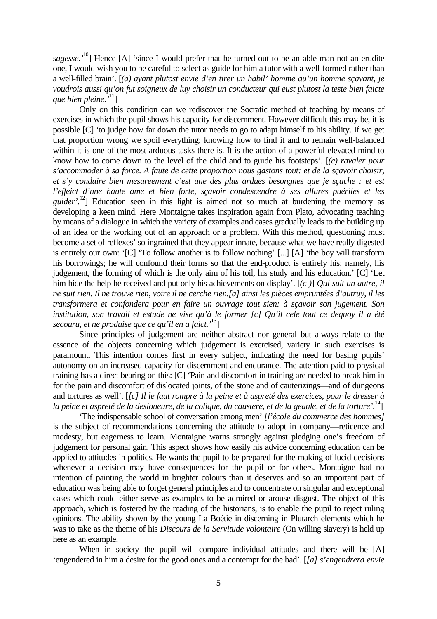sagesse.<sup>'10</sup>] Hence [A] 'since I would prefer that he turned out to be an able man not an erudite one, I would wish you to be careful to select as guide for him a tutor with a well-formed rather than a well-filled brain'. [*(a) ayant plutost envie d'en tirer un habil' homme qu'un homme sçavant, je voudrois aussi qu'on fut soigneux de luy choisir un conducteur qui eust plutost la teste bien faicte que bien pleine.'*<sup>11</sup>]

Only on this condition can we rediscover the Socratic method of teaching by means of exercises in which the pupil shows his capacity for discernment. However difficult this may be, it is possible [C] 'to judge how far down the tutor needs to go to adapt himself to his ability. If we get that proportion wrong we spoil everything; knowing how to find it and to remain well-balanced within it is one of the most arduous tasks there is. It is the action of a powerful elevated mind to know how to come down to the level of the child and to guide his footsteps'. [*(c) ravaler pour s'accommoder à sa force. A faute de cette proportion nous gastons tout: et de la sçavoir choisir, et s'y conduire bien mesureement c'est une des plus ardues besongnes que je sçache : et est l'effeict d'une haute ame et bien forte, sçavoir condescendre à ses allures puériles et les guider'.*<sup>12</sup>] Education seen in this light is aimed not so much at burdening the memory as developing a keen mind. Here Montaigne takes inspiration again from Plato, advocating teaching by means of a dialogue in which the variety of examples and cases gradually leads to the building up of an idea or the working out of an approach or a problem. With this method, questioning must become a set of reflexes' so ingrained that they appear innate, because what we have really digested is entirely our own: '[C] 'To follow another is to follow nothing' [...] [A] 'the boy will transform his borrowings; he will confound their forms so that the end-product is entirely his: namely, his judgement, the forming of which is the only aim of his toil, his study and his education.' [C] 'Let him hide the help he received and put only his achievements on display'. [*(c )*] *Qui suit un autre, il ne suit rien. Il ne trouve rien, voire il ne cerche rien.[a] ainsi les pièces empruntées d'autruy, il les transformera et confondera pour en faire un ouvrage tout sien: à sçavoir son jugement. Son institution, son travail et estude ne vise qu'à le former [c] Qu'il cele tout ce dequoy il a été secouru, et ne produise que ce qu'il en a faict.'*<sup>13</sup>]

Since principles of judgement are neither abstract nor general but always relate to the essence of the objects concerning which judgement is exercised, variety in such exercises is paramount. This intention comes first in every subject, indicating the need for basing pupils' autonomy on an increased capacity for discernment and endurance. The attention paid to physical training has a direct bearing on this: [C] 'Pain and discomfort in training are needed to break him in for the pain and discomfort of dislocated joints, of the stone and of cauterizings—and of dungeons and tortures as well'. [*[c] Il le faut rompre à la peine et à aspreté des exercices, pour le dresser à la peine et aspreté de la desloueure, de la colique, du caustere, et de la geaule, et de la torture'.* 14]

'The indispensable school of conversation among men' *[l'école du commerce des hommes]* is the subject of recommendations concerning the attitude to adopt in company—reticence and modesty, but eagerness to learn. Montaigne warns strongly against pledging one's freedom of judgement for personal gain. This aspect shows how easily his advice concerning education can be applied to attitudes in politics. He wants the pupil to be prepared for the making of lucid decisions whenever a decision may have consequences for the pupil or for others. Montaigne had no intention of painting the world in brighter colours than it deserves and so an important part of education was being able to forget general principles and to concentrate on singular and exceptional cases which could either serve as examples to be admired or arouse disgust. The object of this approach, which is fostered by the reading of the historians, is to enable the pupil to reject ruling opinions. The ability shown by the young La Boétie in discerning in Plutarch elements which he was to take as the theme of his *Discours de la Servitude volontaire* (On willing slavery) is held up here as an example.

When in society the pupil will compare individual attitudes and there will be [A] 'engendered in him a desire for the good ones and a contempt for the bad'. [*[a] s'engendrera envie*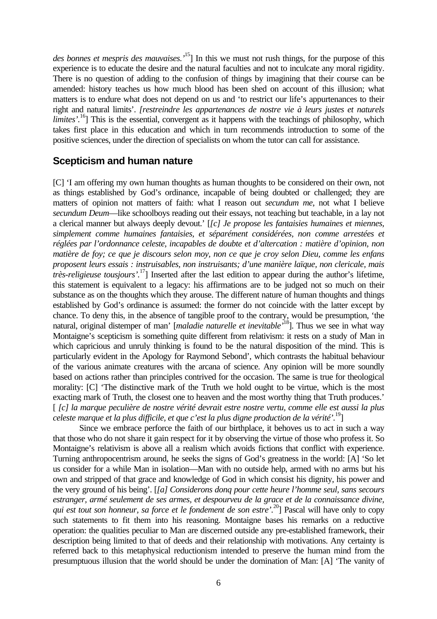*des bonnes et mespris des mauvaises.'*<sup>15</sup>] In this we must not rush things, for the purpose of this experience is to educate the desire and the natural faculties and not to inculcate any moral rigidity. There is no question of adding to the confusion of things by imagining that their course can be amended: history teaches us how much blood has been shed on account of this illusion; what matters is to endure what does not depend on us and 'to restrict our life's appurtenances to their right and natural limits'. *[restreindre les appartenances de nostre vie à leurs justes et naturels limites'*.<sup>16</sup>] This is the essential, convergent as it happens with the teachings of philosophy, which takes first place in this education and which in turn recommends introduction to some of the positive sciences, under the direction of specialists on whom the tutor can call for assistance.

# **Scepticism and human nature**

[C] 'I am offering my own human thoughts as human thoughts to be considered on their own, not as things established by God's ordinance, incapable of being doubted or challenged; they are matters of opinion not matters of faith: what I reason out *secundum me*, not what I believe *secundum Deum*—like schoolboys reading out their essays, not teaching but teachable, in a lay not a clerical manner but always deeply devout.' [*[c] Je propose les fantaisies humaines et miennes, simplement comme humaines fantaisies, et séparément considérées, non comme arrestées et réglées par l'ordonnance celeste, incapables de doubte et d'altercation : matière d'opinion, non matière de foy; ce que je discours selon moy, non ce que je croy selon Dieu, comme les enfans proposent leurs essais : instruisables, non instruisants; d'une manière laïque, non clericale, mais très-religieuse tousjours'.*<sup>17</sup>] Inserted after the last edition to appear during the author's lifetime, this statement is equivalent to a legacy: his affirmations are to be judged not so much on their substance as on the thoughts which they arouse. The different nature of human thoughts and things established by God's ordinance is assumed: the former do not coincide with the latter except by chance. To deny this, in the absence of tangible proof to the contrary, would be presumption, 'the natural, original distemper of man' [*maladie naturelle et inevitable'*<sup>18</sup>]. Thus we see in what way Montaigne's scepticism is something quite different from relativism: it rests on a study of Man in which capricious and unruly thinking is found to be the natural disposition of the mind. This is particularly evident in the Apology for Raymond Sebond', which contrasts the habitual behaviour of the various animate creatures with the arcana of science. Any opinion will be more soundly based on actions rather than principles contrived for the occasion. The same is true for theological morality: [C] 'The distinctive mark of the Truth we hold ought to be virtue, which is the most exacting mark of Truth, the closest one to heaven and the most worthy thing that Truth produces.' [ *[c] la marque peculière de nostre vérité devrait estre nostre vertu, comme elle est aussi la plus celeste marque et la plus difficile, et que c'est la plus digne production de la vérité'.*<sup>19</sup>]

Since we embrace perforce the faith of our birthplace, it behoves us to act in such a way that those who do not share it gain respect for it by observing the virtue of those who profess it. So Montaigne's relativism is above all a realism which avoids fictions that conflict with experience. Turning anthropocentrism around, he seeks the signs of God's greatness in the world: [A] 'So let us consider for a while Man in isolation—Man with no outside help, armed with no arms but his own and stripped of that grace and knowledge of God in which consist his dignity, his power and the very ground of his being'. [*[a] Considerons donq pour cette heure l'homme seul, sans secours estranger, armé seulement de ses armes, et despourveu de la grace et de la connaissance divine, qui est tout son honneur, sa force et le fondement de son estre'.* <sup>20</sup>] Pascal will have only to copy such statements to fit them into his reasoning. Montaigne bases his remarks on a reductive operation: the qualities peculiar to Man are discerned outside any pre-established framework, their description being limited to that of deeds and their relationship with motivations. Any certainty is referred back to this metaphysical reductionism intended to preserve the human mind from the presumptuous illusion that the world should be under the domination of Man: [A] 'The vanity of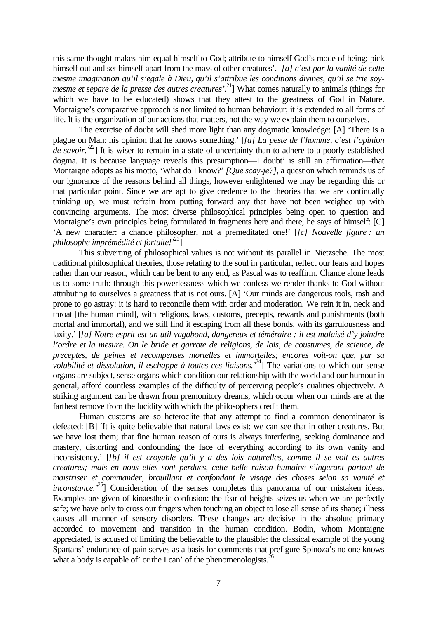this same thought makes him equal himself to God; attribute to himself God's mode of being; pick himself out and set himself apart from the mass of other creatures'. [*[a] c'est par la vanité de cette mesme imagination qu'il s'egale à Dieu, qu'il s'attribue les conditions divines, qu'il se trie soymesme et separe de la presse des autres creatures'.*<sup>21</sup>] What comes naturally to animals (things for which we have to be educated) shows that they attest to the greatness of God in Nature. Montaigne's comparative approach is not limited to human behaviour; it is extended to all forms of life. It is the organization of our actions that matters, not the way we explain them to ourselves.

The exercise of doubt will shed more light than any dogmatic knowledge: [A] 'There is a plague on Man: his opinion that he knows something.' [*[a] La peste de l'homme, c'est l'opinion de savoir.*<sup>22</sup>] It is wiser to remain in a state of uncertainty than to adhere to a poorly established dogma. It is because language reveals this presumption—I doubt' is still an affirmation—that Montaigne adopts as his motto, 'What do I know?' *[Que scay-je?]*, a question which reminds us of our ignorance of the reasons behind all things, however enlightened we may be regarding this or that particular point. Since we are apt to give credence to the theories that we are continually thinking up, we must refrain from putting forward any that have not been weighed up with convincing arguments. The most diverse philosophical principles being open to question and Montaigne's own principles being formulated in fragments here and there, he says of himself: [C] 'A new character: a chance philosopher, not a premeditated one!' [*[c] Nouvelle figure : un philosophe imprémédité et fortuite!'*<sup>23</sup>]

This subverting of philosophical values is not without its parallel in Nietzsche. The most traditional philosophical theories, those relating to the soul in particular, reflect our fears and hopes rather than our reason, which can be bent to any end, as Pascal was to reaffirm. Chance alone leads us to some truth: through this powerlessness which we confess we render thanks to God without attributing to ourselves a greatness that is not ours. [A] 'Our minds are dangerous tools, rash and prone to go astray: it is hard to reconcile them with order and moderation. We rein it in, neck and throat [the human mind], with religions, laws, customs, precepts, rewards and punishments (both mortal and immortal), and we still find it escaping from all these bonds, with its garrulousness and laxity.' [*[a] Notre esprit est un util vagabond, dangereux et téméraire : il est malaisé d'y joindre l'ordre et la mesure. On le bride et garrote de religions, de lois, de coustumes, de science, de preceptes, de peines et recompenses mortelles et immortelles; encores voit-on que, par sa volubilité et dissolution, il eschappe à toutes ces liaisons.'*<sup>24</sup>] The variations to which our sense organs are subject, sense organs which condition our relationship with the world and our humour in general, afford countless examples of the difficulty of perceiving people's qualities objectively. A striking argument can be drawn from premonitory dreams, which occur when our minds are at the farthest remove from the lucidity with which the philosophers credit them.

Human customs are so heteroclite that any attempt to find a common denominator is defeated: [B] 'It is quite believable that natural laws exist: we can see that in other creatures. But we have lost them; that fine human reason of ours is always interfering, seeking dominance and mastery, distorting and confounding the face of everything according to its own vanity and inconsistency.' [*[b] il est croyable qu'il y a des lois naturelles, comme il se voit es autres creatures; mais en nous elles sont perdues, cette belle raison humaine s'ingerant partout de maistriser et commander, brouillant et confondant le visage des choses selon sa vanité et inconstance.*<sup>25</sup>] Consideration of the senses completes this panorama of our mistaken ideas. Examples are given of kinaesthetic confusion: the fear of heights seizes us when we are perfectly safe; we have only to cross our fingers when touching an object to lose all sense of its shape; illness causes all manner of sensory disorders. These changes are decisive in the absolute primacy accorded to movement and transition in the human condition. Bodin, whom Montaigne appreciated, is accused of limiting the believable to the plausible: the classical example of the young Spartans' endurance of pain serves as a basis for comments that prefigure Spinoza's no one knows what a body is capable of or the I can' of the phenomenologists. $2^{\circ}$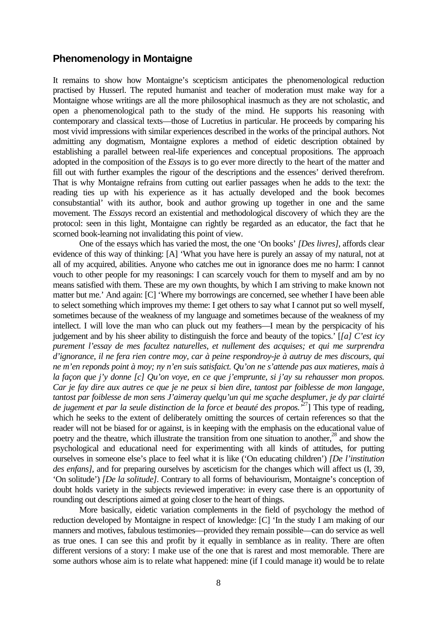### **Phenomenology in Montaigne**

It remains to show how Montaigne's scepticism anticipates the phenomenological reduction practised by Husserl. The reputed humanist and teacher of moderation must make way for a Montaigne whose writings are all the more philosophical inasmuch as they are not scholastic, and open a phenomenological path to the study of the mind. He supports his reasoning with contemporary and classical texts—those of Lucretius in particular. He proceeds by comparing his most vivid impressions with similar experiences described in the works of the principal authors. Not admitting any dogmatism, Montaigne explores a method of eidetic description obtained by establishing a parallel between real-life experiences and conceptual propositions. The approach adopted in the composition of the *Essays* is to go ever more directly to the heart of the matter and fill out with further examples the rigour of the descriptions and the essences' derived therefrom. That is why Montaigne refrains from cutting out earlier passages when he adds to the text: the reading ties up with his experience as it has actually developed and the book becomes consubstantial' with its author, book and author growing up together in one and the same movement. The *Essays* record an existential and methodological discovery of which they are the protocol: seen in this light, Montaigne can rightly be regarded as an educator, the fact that he scorned book-learning not invalidating this point of view.

One of the essays which has varied the most, the one 'On books' *[Des livres]*, affords clear evidence of this way of thinking: [A] 'What you have here is purely an assay of my natural, not at all of my acquired, abilities. Anyone who catches me out in ignorance does me no harm: I cannot vouch to other people for my reasonings: I can scarcely vouch for them to myself and am by no means satisfied with them. These are my own thoughts, by which I am striving to make known not matter but me.' And again: [C] 'Where my borrowings are concerned, see whether I have been able to select something which improves my theme: I get others to say what I cannot put so well myself, sometimes because of the weakness of my language and sometimes because of the weakness of my intellect. I will love the man who can pluck out my feathers—I mean by the perspicacity of his judgement and by his sheer ability to distinguish the force and beauty of the topics.' [*[a] C'est icy purement l'essay de mes facultez naturelles, et nullement des acquises; et qui me surprendra d'ignorance, il ne fera rien contre moy, car à peine respondroy-je à autruy de mes discours, qui ne m'en reponds point à moy; ny n'en suis satisfaict. Qu'on ne s'attende pas aux matieres, mais à la façon que j'y donne [c] Qu'on voye, en ce que j'emprunte, si j'ay su rehausser mon propos. Car je fay dire aux autres ce que je ne peux si bien dire, tantost par foiblesse de mon langage, tantost par foiblesse de mon sens J'aimeray quelqu'un qui me sçache desplumer, je dy par clairté de jugement et par la seule distinction de la force et beauté des propos.'*<sup>27</sup>] This type of reading, which he seeks to the extent of deliberately omitting the sources of certain references so that the reader will not be biased for or against, is in keeping with the emphasis on the educational value of poetry and the theatre, which illustrate the transition from one situation to another, $^{28}$  and show the psychological and educational need for experimenting with all kinds of attitudes, for putting ourselves in someone else's place to feel what it is like ('On educating children') *[De l'institution des enfans]*, and for preparing ourselves by asceticism for the changes which will affect us (I, 39, 'On solitude') *[De la solitude]*. Contrary to all forms of behaviourism, Montaigne's conception of doubt holds variety in the subjects reviewed imperative: in every case there is an opportunity of rounding out descriptions aimed at going closer to the heart of things.

More basically, eidetic variation complements in the field of psychology the method of reduction developed by Montaigne in respect of knowledge: [C] 'In the study I am making of our manners and motives, fabulous testimonies—provided they remain possible—can do service as well as true ones. I can see this and profit by it equally in semblance as in reality. There are often different versions of a story: I make use of the one that is rarest and most memorable. There are some authors whose aim is to relate what happened: mine (if I could manage it) would be to relate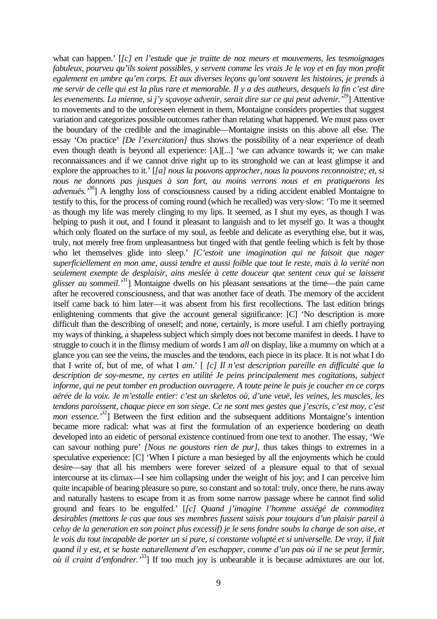what can happen.' [*[c] en l'estude que je traitte de noz meurs et mouvemens, les tesmoignages fabuleux, pourveu qu'ils soient possibles, y servent comme les vrais Je le voy et en fay mon profit egalement en umbre qu'en corps. Et aux diverses leçons qu'ont souvent les histoires, je prends à me servir de celle qui est la plus rare et memorable. Il y a des autheurs, desquels la fin c'est dire les evenements. La mienne, si j'y sçavoye advenir, serait dire sur ce qui peut advenir.'*<sup>29</sup>] Attentive to movements and to the unforeseen element in them, Montaigne considers properties that suggest variation and categorizes possible outcomes rather than relating what happened. We must pass over the boundary of the credible and the imaginable—Montaigne insists on this above all else. The essay 'On practice' *[De l'exercitation]* thus shows the possibility of a near experience of death even though death is beyond all experience: [A][...] 'we can advance towards it; we can make reconnaissances and if we cannot drive right up to its stronghold we can at least glimpse it and explore the approaches to it.' [*[a] nous la pouvons approcher, nous la pouvons reconnoistre; et, si nous ne donnons pas jusques à son fort, au moins verrons nous et en pratiquerons les advenuës.'*<sup>30</sup>] A lengthy loss of consciousness caused by a riding accident enabled Montaigne to testify to this, for the process of coming round (which he recalled) was very slow: 'To me it seemed as though my life was merely clinging to my lips. It seemed, as I shut my eyes, as though I was helping to push it out, and I found it pleasant to languish and to let myself go. It was a thought which only floated on the surface of my soul, as feeble and delicate as everything else, but it was, truly, not merely free from unpleasantness but tinged with that gentle feeling which is felt by those who let themselves glide into sleep.' *[C'estoit une imagination qui ne faisoit que nager superficiellement en mon ame, aussi tendre et aussi foible que tout le reste, mais à la verité non seulement exempte de desplaisir, ains meslée à cette douceur que sentent ceux qui se laissent glisser au sommeil.'*<sup>31</sup>] Montaigne dwells on his pleasant sensations at the time—the pain came after he recovered consciousness, and that was another face of death. The memory of the accident itself came back to him later—it was absent from his first recollections. The last edition brings enlightening comments that give the account general significance: [C] 'No description is more difficult than the describing of oneself; and none, certainly, is more useful. I am chiefly portraying my ways of thinking, a shapeless subject which simply does not become manifest in deeds. I have to struggle to couch it in the flimsy medium of words I am *all* on display, like a mummy on which at a glance you can see the veins, the muscles and the tendons, each piece in its place. It is not what I do that I write of, but of me, of what I *am*.' [ *[c] Il n'est description pareille en difficulté que la description de soy-mesme, ny certes en utilité Je peins principalement mes cogitations, subject informe, qui ne peut tomber en production ouvragere. A toute peine le puis je coucher en ce corps aërée de la voix. Je m'estalle entier: c'est un skeletos où, d'une veuë, les veines, les muscles, les tendons paroissent, chaque piece en son siege. Ce ne sont mes gestes que j'escris, c'est moy, c'est mon essence.*<sup>32</sup>] Between the first edition and the subsequent additions Montaigne's intention became more radical: what was at first the formulation of an experience bordering on death developed into an eidetic of personal existence continued from one text to another. The essay, 'We can savour nothing pure' *[Nous ne goustons rien de pur]*, thus takes things to extremes in a speculative experience: [C] 'When I picture a man besieged by all the enjoyments which he could desire—say that all his members were forever seized of a pleasure equal to that of sexual intercourse at its climax—I see him collapsing under the weight of his joy; and I can perceive him quite incapable of bearing pleasure so pure, so constant and so total: truly, once there, he runs away and naturally hastens to escape from it as from some narrow passage where he cannot find solid ground and fears to be engulfed.' [*[c] Quand j'imagine l'homme assiégé de commoditez desirables (mettons le cas que tous ses membres fussent saisis pour toujours d'un plaisir pareil à celuy de la generation en son poinct plus excessif) je le sens fondre soubs la charge de son aise, et le vois du tout incapable de porter un si pure, si constante volupté et si universelle. De vray, il fuit quand il y est, et se haste naturellement d'en eschapper, comme d'un pas où il ne se peut fermir, où il craint d'enfondrer.'*<sup>33</sup>] If too much joy is unbearable it is because admixtures are our lot.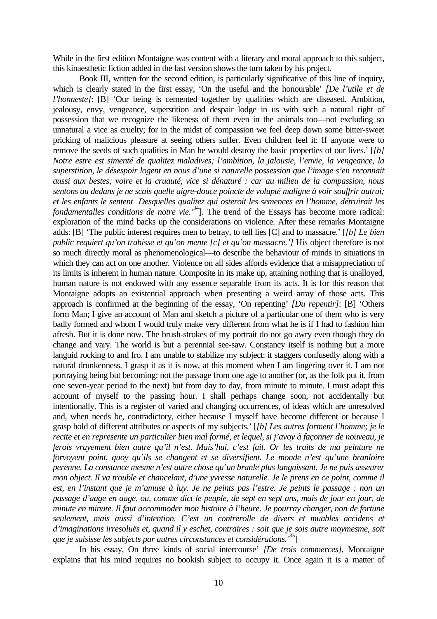While in the first edition Montaigne was content with a literary and moral approach to this subject, this kinaesthetic fiction added in the last version shows the turn taken by his project.

Book III, written for the second edition, is particularly significative of this line of inquiry, which is clearly stated in the first essay, 'On the useful and the honourable' *[De l'utile et de l'honneste]*: [B] 'Our being is cemented together by qualities which are diseased. Ambition, jealousy, envy, vengeance, superstition and despair lodge in us with such a natural right of possession that we recognize the likeness of them even in the animals too—not excluding so unnatural a vice as cruelty; for in the midst of compassion we feel deep down some bitter-sweet pricking of malicious pleasure at seeing others suffer. Even children feel it: If anyone were to remove the seeds of such qualities in Man he would destroy the basic properties of our lives.' [*[b] Notre estre est simenté de qualitez maladives; l'ambition, la jalousie, l'envie, la vengeance, la superstition, le désespoir logent en nous d'une si naturelle possession que l'image s'en reconnait aussi aux bestes; voire et la cruauté, vice si dénaturé : car au milieu de la compassion, nous sentons au dedans je ne scais quelle aigre-douce poincte de volupté maligne à voir souffrir autrui; et les enfants le sentent Desquelles qualitez qui osteroit les semences en l'homme, détruirait les fondamentalles conditions de notre vie.'*<sup>34</sup>]. The trend of the Essays has become more radical: exploration of the mind backs up the considerations on violence. After these remarks Montaigne adds: [B] 'The public interest requires men to betray, to tell lies [C] and to massacre.' [*[b] Le bien public requiert qu'on trahisse et qu'on mente [c] et qu'on massacre.']* His object therefore is not so much directly moral as phenomenological—to describe the behaviour of minds in situations in which they can act on one another. Violence on all sides affords evidence that a misappreciation of its limits is inherent in human nature. Composite in its make up, attaining nothing that is unalloyed, human nature is not endowed with any essence separable from its acts. It is for this reason that Montaigne adopts an existential approach when presenting a weird array of those acts. This approach is confirmed at the beginning of the essay, 'On repenting' *[Du repentir]*: [B] 'Others form Man; I give an account of Man and sketch a picture of a particular one of them who is very badly formed and whom I would truly make very different from what he is if I had to fashion him afresh. But it is done now. The brush-strokes of my portrait do not go awry even though they do change and vary. The world is but a perennial see-saw. Constancy itself is nothing but a more languid rocking to and fro. I am unable to stabilize my subject: it staggers confusedly along with a natural drunkenness. I grasp it as it is now, at this moment when I am lingering over it. I am not portraying being but becoming: not the passage from one age to another (or, as the folk put it, from one seven-year period to the next) but from day to day, from minute to minute. I must adapt this account of myself to the passing hour. I shall perhaps change soon, not accidentally but intentionally. This is a register of varied and changing occurrences, of ideas which are unresolved and, when needs be, contradictory, either because I myself have become different or because I grasp hold of different attributes or aspects of my subjects.' [*[b] Les autres forment l'homme; je le recite et en represente un particulier bien mal formé, et lequel, si j'avoy à façonner de nouveau, je ferois vrayement bien autre qu'il n'est. Mais'hui, c'est fait. Or les traits de ma peinture ne forvoyent point, quoy qu'ils se changent et se diversifient. Le monde n'est qu'une branloire perenne. La constance mesme n'est autre chose qu'un branle plus languissant. Je ne puis asseurer mon object. Il va trouble et chancelant, d'une yvresse naturelle. Je le prens en ce point, comme il est, en l'instant que je m'amuse à luy. Je ne peints pas l'estre. Je peints le passage : non un passage d'aage en aage, ou, comme dict le peuple, de sept en sept ans, mais de jour en jour, de minute en minute. Il faut accommoder mon histoire à l'heure. Je pourray changer, non de fortune seulement, mais aussi d'intention. C'est un contrerolle de divers et muables accidens et d'imaginations irresoluës et, quand il y eschet, contraires : soit que je sois autre moymesme, soit que je saisisse les subjects par autres circonstances et considérations.'*<sup>35</sup>]

In his essay, On three kinds of social intercourse' *[De trois commerces]*, Montaigne explains that his mind requires no bookish subject to occupy it. Once again it is a matter of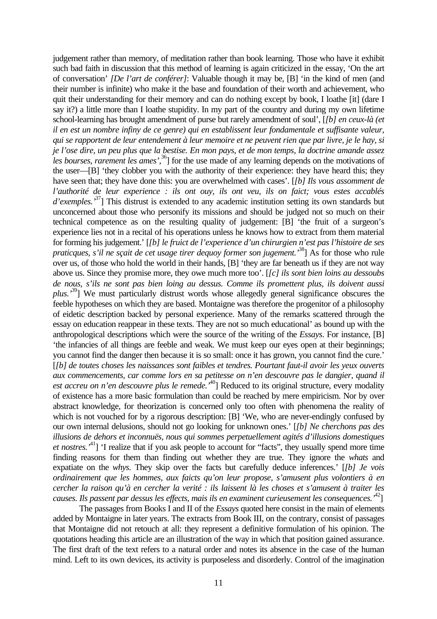judgement rather than memory, of meditation rather than book learning. Those who have it exhibit such bad faith in discussion that this method of learning is again criticized in the essay, 'On the art of conversation' *[De l'art de conférer]*: Valuable though it may be, [B] 'in the kind of men (and their number is infinite) who make it the base and foundation of their worth and achievement, who quit their understanding for their memory and can do nothing except by book, I loathe [it] (dare I say it?) a little more than I loathe stupidity. In my part of the country and during my own lifetime school-learning has brought amendment of purse but rarely amendment of soul', [*[b] en ceux-là (et il en est un nombre infiny de ce genre) qui en establissent leur fondamentale et suffisante valeur, qui se rapportent de leur entendement à leur memoire et ne peuvent rien que par livre, je le hay, si je l'ose dire, un peu plus que la bestise. En mon pays, et de mon temps, la doctrine amande assez les bourses, rarement les ames',* <sup>36</sup>] for the use made of any learning depends on the motivations of the user—[B] 'they clobber you with the authority of their experience: they have heard this; they have seen that; they have done this: you are overwhelmed with cases'. [*[b] Ils vous assomment de l'authorité de leur experience : ils ont ouy, ils ont veu, ils on faict; vous estes accablés d'exemples.'*<sup>37</sup>] This distrust is extended to any academic institution setting its own standards but unconcerned about those who personify its missions and should be judged not so much on their technical competence as on the resulting quality of judgement: [B] 'the fruit of a surgeon's experience lies not in a recital of his operations unless he knows how to extract from them material for forming his judgement.' [*[b] le fruict de l'experience d'un chirurgien n'est pas l'histoire de ses praticques, s'il ne sçait de cet usage tirer dequoy former son jugement.'*<sup>38</sup>] As for those who rule over us, of those who hold the world in their hands, [B] 'they are far beneath us if they are not way above us. Since they promise more, they owe much more too'. [*[c] ils sont bien loins au dessoubs de nous, s'ils ne sont pas bien loing au dessus. Comme ils promettent plus, ils doivent aussi plus.'*<sup>39</sup>] We must particularly distrust words whose allegedly general significance obscures the feeble hypotheses on which they are based. Montaigne was therefore the progenitor of a philosophy of eidetic description backed by personal experience. Many of the remarks scattered through the essay on education reappear in these texts. They are not so much educational' as bound up with the anthropological descriptions which were the source of the writing of the *Essays*. For instance, [B] 'the infancies of all things are feeble and weak. We must keep our eyes open at their beginnings; you cannot find the danger then because it is so small: once it has grown, you cannot find the cure.' [*[b] de toutes choses les naissances sont faibles et tendres. Pourtant faut-il avoir les yeux ouverts aux commencements, car comme lors en sa petitesse on n'en descouvre pas le dangier, quand il est accreu on n'en descouvre plus le remede.'*<sup>40</sup>] Reduced to its original structure, every modality of existence has a more basic formulation than could be reached by mere empiricism. Nor by over abstract knowledge, for theorization is concerned only too often with phenomena the reality of which is not vouched for by a rigorous description: [B] 'We, who are never-endingly confused by our own internal delusions, should not go looking for unknown ones.' [*[b] Ne cherchons pas des illusions de dehors et inconnuës, nous qui sommes perpetuellement agités d'illusions domestiques et nostres.'*<sup>41</sup>] 'I realize that if you ask people to account for "facts", they usually spend more time finding reasons for them than finding out whether they are true. They ignore the *whats* and expatiate on the *whys*. They skip over the facts but carefully deduce inferences.' [*[b] Je vois ordinairement que les hommes, aux faicts qu'on leur propose, s'amusent plus volontiers à en cercher la raison qu'à en cercher la verité : ils laissent là les choses et s'amusent à traiter les causes. Ils passent par dessus les effects, mais ils en examinent curieusement les consequences.'*<sup>42</sup>]

The passages from Books I and II of the *Essays* quoted here consist in the main of elements added by Montaigne in later years. The extracts from Book III, on the contrary, consist of passages that Montaigne did not retouch at all: they represent a definitive formulation of his opinion. The quotations heading this article are an illustration of the way in which that position gained assurance. The first draft of the text refers to a natural order and notes its absence in the case of the human mind. Left to its own devices, its activity is purposeless and disorderly. Control of the imagination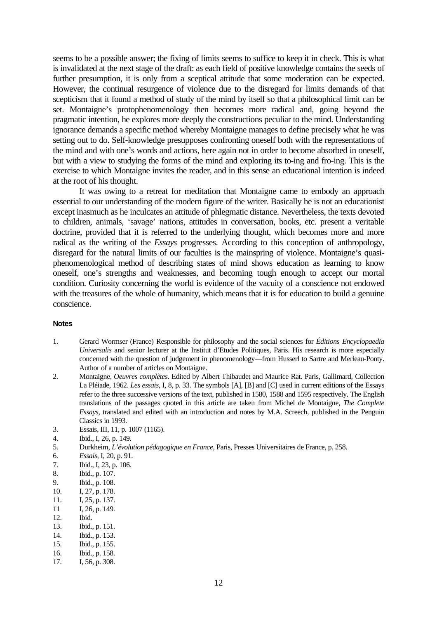seems to be a possible answer; the fixing of limits seems to suffice to keep it in check. This is what is invalidated at the next stage of the draft: as each field of positive knowledge contains the seeds of further presumption, it is only from a sceptical attitude that some moderation can be expected. However, the continual resurgence of violence due to the disregard for limits demands of that scepticism that it found a method of study of the mind by itself so that a philosophical limit can be set. Montaigne's protophenomenology then becomes more radical and, going beyond the pragmatic intention, he explores more deeply the constructions peculiar to the mind. Understanding ignorance demands a specific method whereby Montaigne manages to define precisely what he was setting out to do. Self-knowledge presupposes confronting oneself both with the representations of the mind and with one's words and actions, here again not in order to become absorbed in oneself, but with a view to studying the forms of the mind and exploring its to-ing and fro-ing. This is the exercise to which Montaigne invites the reader, and in this sense an educational intention is indeed at the root of his thought.

It was owing to a retreat for meditation that Montaigne came to embody an approach essential to our understanding of the modern figure of the writer. Basically he is not an educationist except inasmuch as he inculcates an attitude of phlegmatic distance. Nevertheless, the texts devoted to children, animals, 'savage' nations, attitudes in conversation, books, etc. present a veritable doctrine, provided that it is referred to the underlying thought, which becomes more and more radical as the writing of the *Essays* progresses. According to this conception of anthropology, disregard for the natural limits of our faculties is the mainspring of violence. Montaigne's quasiphenomenological method of describing states of mind shows education as learning to know oneself, one's strengths and weaknesses, and becoming tough enough to accept our mortal condition. Curiosity concerning the world is evidence of the vacuity of a conscience not endowed with the treasures of the whole of humanity, which means that it is for education to build a genuine conscience.

#### **Notes**

- 1. Gerard Wormser (France) Responsible for philosophy and the social sciences for *Éditions Encyclopaedia Universalis* and senior lecturer at the Institut d'Etudes Politiques, Paris. His research is more especially concerned with the question of judgement in phenomenology—from Husserl to Sartre and Merleau-Ponty. Author of a number of articles on Montaigne.
- 2. Montaigne, *Oeuvres complètes*. Edited by Albert Thibaudet and Maurice Rat. Paris, Gallimard, Collection La Pléiade, 1962. *Les essais*, I, 8, p. 33. The symbols [A], [B] and [C] used in current editions of the Essays refer to the three successive versions of the text, published in 1580, 1588 and 1595 respectively. The English translations of the passages quoted in this article are taken from Michel de Montaigne, *The Complete Essays*, translated and edited with an introduction and notes by M.A. Screech, published in the Penguin Classics in 1993.
- 3. Essais, III, 11, p. 1007 (1165).
- 4. Ibid., I, 26, p. 149.
- 5. Durkheim, *L'évolution pédagogique en France,* Paris, Presses Universitaires de France, p. 258.
- 6. *Essais*, I, 20, p. 91.
- 7. Ibid., I, 23, p. 106.
- 8. Ibid., p. 107.
- 9. Ibid., p. 108.
- 10. I, 27, p. 178.
- 11. I, 25, p. 137.
- 11 I, 26, p. 149.
- 12. Ibid.
- 13. Ibid., p. 151.
- 14. Ibid., p. 153.
- 15. Ibid., p. 155.
- 16. Ibid., p. 158.
- 17. I, 56, p. 308.